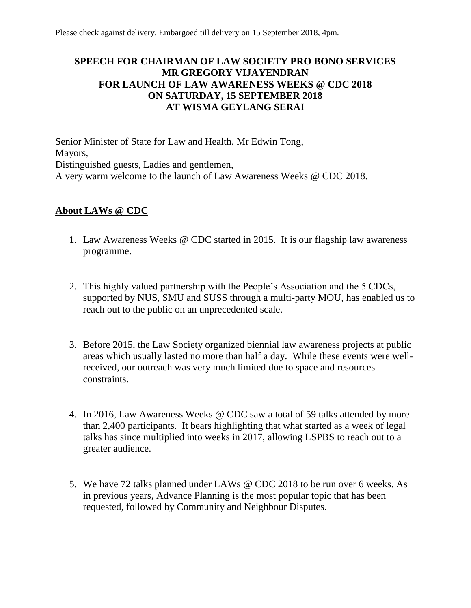## **SPEECH FOR CHAIRMAN OF LAW SOCIETY PRO BONO SERVICES MR GREGORY VIJAYENDRAN FOR LAUNCH OF LAW AWARENESS WEEKS @ CDC 2018 ON SATURDAY, 15 SEPTEMBER 2018 AT WISMA GEYLANG SERAI**

Senior Minister of State for Law and Health, Mr Edwin Tong, Mayors, Distinguished guests, Ladies and gentlemen, A very warm welcome to the launch of Law Awareness Weeks @ CDC 2018.

## **About LAWs @ CDC**

- 1. Law Awareness Weeks @ CDC started in 2015. It is our flagship law awareness programme.
- 2. This highly valued partnership with the People's Association and the 5 CDCs, supported by NUS, SMU and SUSS through a multi-party MOU, has enabled us to reach out to the public on an unprecedented scale.
- 3. Before 2015, the Law Society organized biennial law awareness projects at public areas which usually lasted no more than half a day. While these events were wellreceived, our outreach was very much limited due to space and resources constraints.
- 4. In 2016, Law Awareness Weeks @ CDC saw a total of 59 talks attended by more than 2,400 participants. It bears highlighting that what started as a week of legal talks has since multiplied into weeks in 2017, allowing LSPBS to reach out to a greater audience.
- 5. We have 72 talks planned under LAWs @ CDC 2018 to be run over 6 weeks. As in previous years, Advance Planning is the most popular topic that has been requested, followed by Community and Neighbour Disputes.